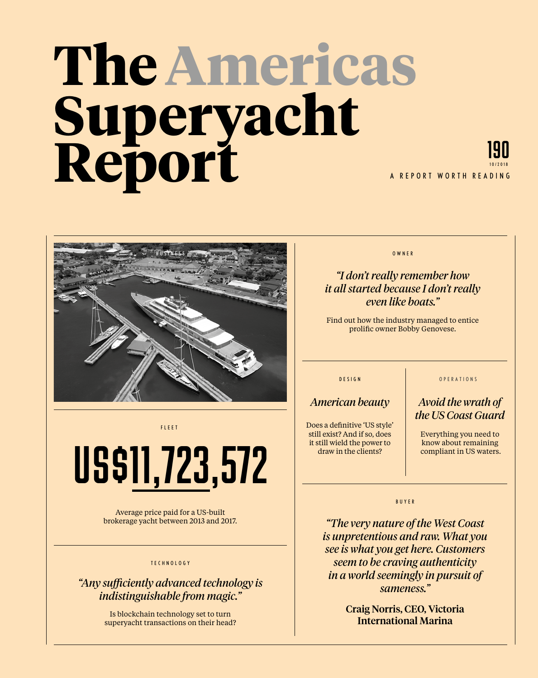# **The Americas Superyacht Report**





FLEET

# US\$11,723,572

Average price paid for a US-built brokerage yacht between 2013 and 2017.

#### TECHNOLOGY

# *"Any sufficiently advanced technology is indistinguishable from magic."*

Is blockchain technology set to turn superyacht transactions on their head? OWNER

## *"I don't really remember how it all started because I don't really even like boats."*

Find out how the industry managed to entice prolific owner Bobby Genovese.

#### DESIGN

### *American beauty*

Does a definitive 'US style' still exist? And if so, does it still wield the power to draw in the clients?

#### **OPERATIONS**

### *Avoid the wrath of the US Coast Guard*

Everything you need to know about remaining compliant in US waters.

#### BUYER

*"The very nature of the West Coast is unpretentious and raw. What you see is what you get here. Customers seem to be craving authenticity in a world seemingly in pursuit of sameness."* 

> Craig Norris, CEO, Victoria International Marina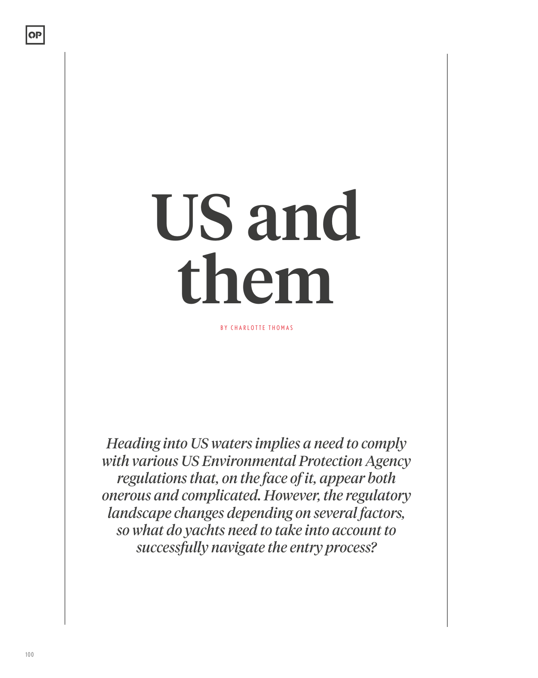# US and them

BY CHARLOTTE THOMAS

*Heading into US waters implies a need to comply with various US Environmental Protection Agency regulations that, on the face of it, appear both onerous and complicated. However, the regulatory landscape changes depending on several factors, so what do yachts need to take into account to successfully navigate the entry process?*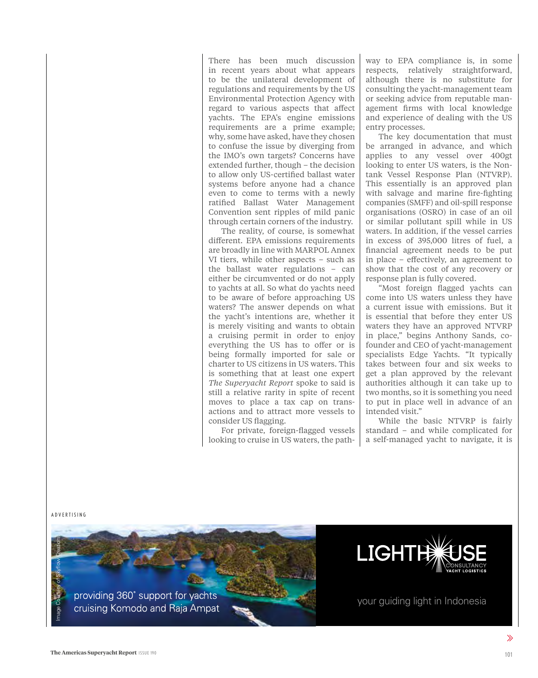There has been much discussion in recent years about what appears to be the unilateral development of regulations and requirements by the US Environmental Protection Agency with regard to various aspects that affect yachts. The EPA's engine emissions requirements are a prime example; why, some have asked, have they chosen to confuse the issue by diverging from the IMO's own targets? Concerns have extended further, though – the decision to allow only US-certified ballast water systems before anyone had a chance even to come to terms with a newly ratified Ballast Water Management Convention sent ripples of mild panic through certain corners of the industry.

The reality, of course, is somewhat different. EPA emissions requirements are broadly in line with MARPOL Annex VI tiers, while other aspects – such as the ballast water regulations – can either be circumvented or do not apply to yachts at all. So what do yachts need to be aware of before approaching US waters? The answer depends on what the yacht's intentions are, whether it is merely visiting and wants to obtain a cruising permit in order to enjoy everything the US has to offer or is being formally imported for sale or charter to US citizens in US waters. This is something that at least one expert *The Superyacht Report* spoke to said is still a relative rarity in spite of recent moves to place a tax cap on transactions and to attract more vessels to consider US flagging.

For private, foreign-flagged vessels looking to cruise in US waters, the path-

way to EPA compliance is, in some respects, relatively straightforward, although there is no substitute for consulting the yacht-management team or seeking advice from reputable management firms with local knowledge and experience of dealing with the US entry processes.

The key documentation that must be arranged in advance, and which applies to any vessel over 400gt looking to enter US waters, is the Nontank Vessel Response Plan (NTVRP). This essentially is an approved plan with salvage and marine fire-fighting companies (SMFF) and oil-spill response organisations (OSRO) in case of an oil or similar pollutant spill while in US waters. In addition, if the vessel carries in excess of 395,000 litres of fuel, a financial agreement needs to be put in place – effectively, an agreement to show that the cost of any recovery or response plan is fully covered.

"Most foreign flagged yachts can come into US waters unless they have a current issue with emissions. But it is essential that before they enter US waters they have an approved NTVRP in place," begins Anthony Sands, cofounder and CEO of yacht-management specialists Edge Yachts. "It typically takes between four and six weeks to get a plan approved by the relevant authorities although it can take up to two months, so it is something you need to put in place well in advance of an intended visit."

While the basic NTVRP is fairly standard – and while complicated for a self-managed yacht to navigate, it is

ADVERTISING





your guiding light in Indonesia

 $\gg$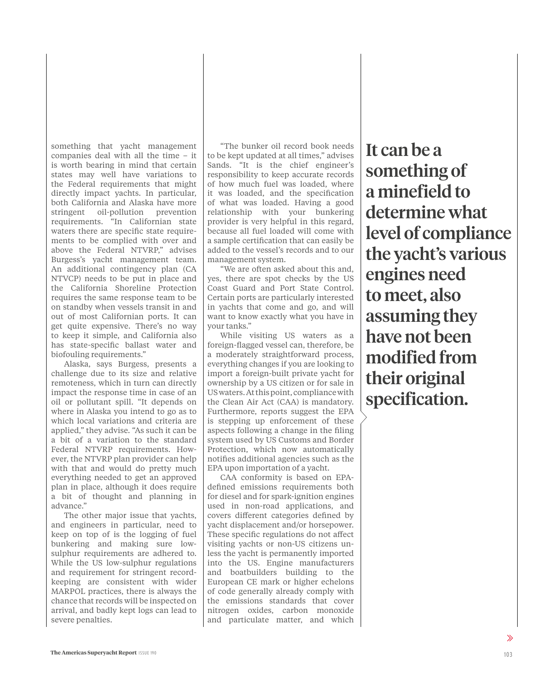something that yacht management companies deal with all the time – it is worth bearing in mind that certain states may well have variations to the Federal requirements that might directly impact yachts. In particular, both California and Alaska have more stringent oil-pollution prevention requirements. "In Californian state waters there are specific state requirements to be complied with over and above the Federal NTVRP," advises Burgess's yacht management team. An additional contingency plan (CA NTVCP) needs to be put in place and the California Shoreline Protection requires the same response team to be on standby when vessels transit in and out of most Californian ports. It can get quite expensive. There's no way to keep it simple, and California also has state-specific ballast water and biofouling requirements."

Alaska, says Burgess, presents a challenge due to its size and relative remoteness, which in turn can directly impact the response time in case of an oil or pollutant spill. "It depends on where in Alaska you intend to go as to which local variations and criteria are applied," they advise. "As such it can be a bit of a variation to the standard Federal NTVRP requirements. However, the NTVRP plan provider can help with that and would do pretty much everything needed to get an approved plan in place, although it does require a bit of thought and planning in advance."

The other major issue that yachts, and engineers in particular, need to keep on top of is the logging of fuel bunkering and making sure lowsulphur requirements are adhered to. While the US low-sulphur regulations and requirement for stringent recordkeeping are consistent with wider MARPOL practices, there is always the chance that records will be inspected on arrival, and badly kept logs can lead to severe penalties.

"The bunker oil record book needs to be kept updated at all times," advises Sands. "It is the chief engineer's responsibility to keep accurate records of how much fuel was loaded, where it was loaded, and the specification of what was loaded. Having a good relationship with your bunkering provider is very helpful in this regard, because all fuel loaded will come with a sample certification that can easily be added to the vessel's records and to our management system.

"We are often asked about this and, yes, there are spot checks by the US Coast Guard and Port State Control. Certain ports are particularly interested in yachts that come and go, and will want to know exactly what you have in your tanks."

While visiting US waters as a foreign-flagged vessel can, therefore, be a moderately straightforward process, everything changes if you are looking to import a foreign-built private yacht for ownership by a US citizen or for sale in US waters. At this point, compliance with the Clean Air Act (CAA) is mandatory. Furthermore, reports suggest the EPA is stepping up enforcement of these aspects following a change in the filing system used by US Customs and Border Protection, which now automatically notifies additional agencies such as the EPA upon importation of a yacht.

CAA conformity is based on EPAdefined emissions requirements both for diesel and for spark-ignition engines used in non-road applications, and covers different categories defined by yacht displacement and/or horsepower. These specific regulations do not affect visiting yachts or non-US citizens unless the yacht is permanently imported into the US. Engine manufacturers and boatbuilders building to the European CE mark or higher echelons of code generally already comply with the emissions standards that cover nitrogen oxides, carbon monoxide and particulate matter, and which

It can be a something of a minefield to determine what level of compliance the yacht's various engines need to meet, also assuming they have not been modified from their original specification.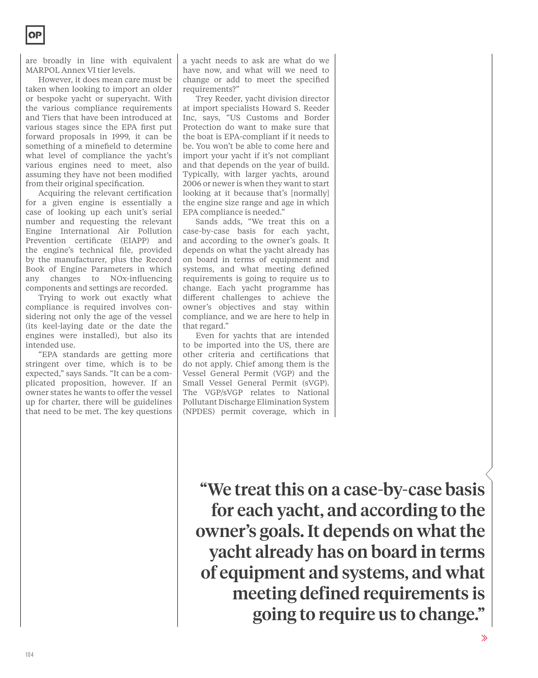are broadly in line with equivalent MARPOL Annex VI tier levels.

However, it does mean care must be taken when looking to import an older or bespoke yacht or superyacht. With the various compliance requirements and Tiers that have been introduced at various stages since the EPA first put forward proposals in 1999, it can be something of a minefield to determine what level of compliance the yacht's various engines need to meet, also assuming they have not been modified from their original specification.

Acquiring the relevant certification for a given engine is essentially a case of looking up each unit's serial number and requesting the relevant Engine International Air Pollution Prevention certificate (EIAPP) and the engine's technical file, provided by the manufacturer, plus the Record Book of Engine Parameters in which any changes to NOx-influencing components and settings are recorded.

Trying to work out exactly what compliance is required involves considering not only the age of the vessel (its keel-laying date or the date the engines were installed), but also its intended use.

"EPA standards are getting more stringent over time, which is to be expected," says Sands. "It can be a complicated proposition, however. If an owner states he wants to offer the vessel up for charter, there will be guidelines that need to be met. The key questions

a yacht needs to ask are what do we have now, and what will we need to change or add to meet the specified requirements?"

Trey Reeder, yacht division director at import specialists Howard S. Reeder Inc, says, "US Customs and Border Protection do want to make sure that the boat is EPA-compliant if it needs to be. You won't be able to come here and import your yacht if it's not compliant and that depends on the year of build. Typically, with larger yachts, around 2006 or newer is when they want to start looking at it because that's [normally] the engine size range and age in which EPA compliance is needed."

Sands adds, "We treat this on a case-by-case basis for each yacht, and according to the owner's goals. It depends on what the yacht already has on board in terms of equipment and systems, and what meeting defined requirements is going to require us to change. Each yacht programme has different challenges to achieve the owner's objectives and stay within compliance, and we are here to help in that regard."

Even for yachts that are intended to be imported into the US, there are other criteria and certifications that do not apply. Chief among them is the Vessel General Permit (VGP) and the Small Vessel General Permit (sVGP). The VGP/sVGP relates to National Pollutant Discharge Elimination System (NPDES) permit coverage, which in

"We treat this on a case-by-case basis for each yacht, and according to the owner's goals. It depends on what the yacht already has on board in terms of equipment and systems, and what meeting defined requirements is going to require us to change."

 $\gg$